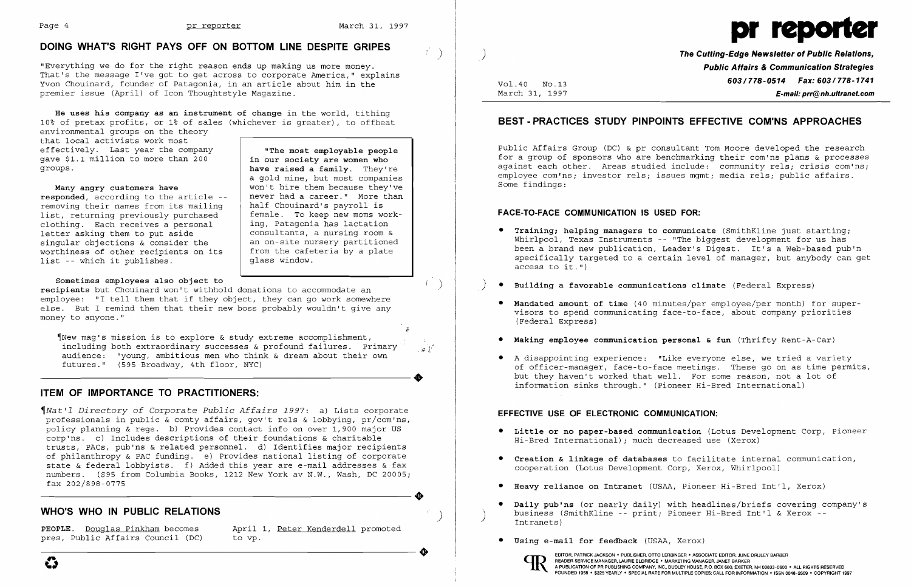$\left( \begin{array}{c} \cdot \\ \cdot \end{array} \right)$ 

# **DOING WHAT'S RIGHT PAYS OFF ON BOTTOM LINE DESPITE GRIPES** )

"Everything we do for the right reason ends up making us more money. That's the message I've got to get across to corporate America," explains Yvon Chouinard, founder of Patagonia, in an article about him in the premier issue (April) of Icon Thoughtstyle Magazine.

**He uses his company as an instrument of change** in the world, tithing 10% of pretax profits, or 1% of sales (whichever is greater), to offbeat

environmental groups on the theory that local activists work most effectively. Last year the company gave \$1.1 million to more than 200 groups.

### **Many angry customers have**

 $\tau$  $\P$ New maq's mission is to explore & study extreme accomplishment, including both extraordinary successes & profound failures. Primary  $\mathbb{R}^2 \times \mathbb{R}^2$ audience: "young, ambitious men who think & dream about their own ---------------------+ futures." (595 Broadway, 4th floor, NYC)

**responded,** according to the article removing their names from its mailing list, returning previously purchased clothing. Each receives a personal letter asking them to put aside singular objections & consider the worthiness of other recipients on its list -- which it publishes.

### **Sometimes employees also object to**

**recipients** but Chouinard won't withhold donations to accommodate an employee: **"I** tell them that if they object, they can go work somewhere else. But I remind them that their new boss probably wouldn't give any money to anyone."

# **ITEM OF IMPORTANCE TO PRACTITIONERS:**

~Nat'l *Directory of Corporate Public Affairs* 1997: a) Lists corporate professionals in public & comty affairs, gov't rels & lobbying, pr/com'ns, policy planning & regs. b) Provides contact info on over 1,900 major US corp'ns. c) Includes descriptions of their foundations & charitable trusts, PACs, pub'ns & related personnel. d) Identifies major recipients of philanthropy & PAC funding. e) Provides national listing of corporate state & federal lobbyists. f) Added this year are e-mail addresses & fax numbers. (\$95 from Columbia Books, 1212 New York av N.W., Wash, DC *20005i*  ---------------------+ fax 202/898-0775

## **WHO'S WHO IN PUBLIC RELATIONS** )

**PEOPLE.** Douglas Pinkham becomes April 1, Peter Kenderdell promoted pres, Public Affairs Council (DC) to vp. pres, Public Affairs Council (DC) PEOPLE. Douglas Pinkham becomes April 1, <u>Peter Kenderdell</u> promoted<br>pres, Public Affairs Council (DC) to vp.

**"The most employable people in our society are women who have raised a family.** They're a gold mine, but most companies won't hire them because they've never had a career." More than half Chouinard's payroll is female. To keep new moms working, Patagonia has lactation consultants, a nursing room & an on-site nursery partitioned from the cafeteria by a plate

glass window.



) **The Cutting-Edge Newsletter of Public Relations, Public Affairs & Communication Strategies 603/778-0514 Fax: 603/778-1741 Fax: 603/778-1741**<br>March 31, 1997 **F-mail: prr@nh.ultranet.com** March 31, 1997 **E-mail: prr@nh.ultranet.com** 

## **BEST - PRACTICES STUDY PINPOINTS EFFECTIVE COM'NS APPROACHES**

Public Affairs Group (DC) & pr consultant Tom Moore developed the research for a group of sponsors who are benchmarking their com'ns plans & processes against each other. Areas studied include: community rels; crisis com'ns; employee com'ns; investor rels; issues mgmt; media rels; public affairs. Some findings:

### **FACE-TO-FACE COMMUNICATION IS USED FOR:**

Whirlpool, Texas Instruments -- "The biggest development for us has been a brand new publication, Leader's Digest. It's a Web-based pub'n specifically targeted to a certain level of manager, but anybody can get

visors to spend communicating face-to-face, about company priorities

- **• Training; helping managers to communicate** (SmithKline just startingi access to it.")
- )  **Building a favorable communications climate** (Federal Express)
- **Mandated amount of time** (40 minutes/per employee/per month) for super-(Federal Express)
- • **Making employee communication personal & fun** (Thrifty Rent-A-Car)
- • A disappointing experience: "Like everyone else, we tried a variety information sinks through." (Pioneer Hi-Bred International)

of officer-manager, face-to-face meetings. These go on as time permits, but they haven't worked that well. For some reason, not a lot of

#### **EFFECTIVE USE OF ELECTRONIC COMMUNICATION:**

- **• Little or no paper-based communication** (Lotus Development Corp, Pioneer Hi-Bred International); much decreased use (Xerox)
- **• Creation & linkage of databases** to facilitate internal communication, cooperation (Lotus Development Corp, Xerox, Whirlpool)
- **• Heavy reliance on Intranet** (USAA, Pioneer Hi-Bred Int'l, Xerox)
- business (SmithKline -- print; Pioneer Hi-Bred Int'l & Xerox -- Intranets)
- **• Using e-mail for feedback** (USAA, Xerox)

**• Daily pub'ns** (or nearly daily) with headlines/briefs covering company's